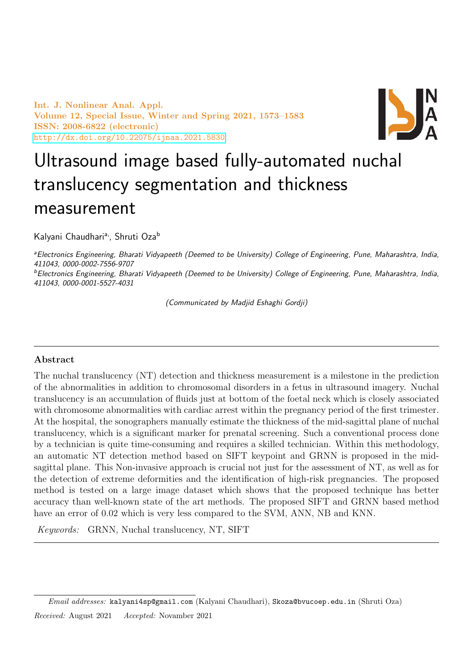Int. J. Nonlinear Anal. Appl. Volume 12, Special Issue, Winter and Spring 2021, 1573–1583 ISSN: 2008-6822 (electronic) <http://dx.doi.org/10.22075/ijnaa.2021.5830>



# Ultrasound image based fully-automated nuchal translucency segmentation and thickness measurement

Kalyani Chaudhari<sup>a,</sup>, Shruti Oza<sup>b</sup>

<sup>a</sup> Electronics Engineering, Bharati Vidyapeeth (Deemed to be University) College of Engineering, Pune, Maharashtra, India, 411043, 0000-0002-7556-9707

<sup>b</sup>Electronics Engineering, Bharati Vidyapeeth (Deemed to be University) College of Engineering, Pune, Maharashtra, India, 411043, 0000-0001-5527-4031

(Communicated by Madjid Eshaghi Gordji)

## Abstract

The nuchal translucency (NT) detection and thickness measurement is a milestone in the prediction of the abnormalities in addition to chromosomal disorders in a fetus in ultrasound imagery. Nuchal translucency is an accumulation of fluids just at bottom of the foetal neck which is closely associated with chromosome abnormalities with cardiac arrest within the pregnancy period of the first trimester. At the hospital, the sonographers manually estimate the thickness of the mid-sagittal plane of nuchal translucency, which is a significant marker for prenatal screening. Such a conventional process done by a technician is quite time-consuming and requires a skilled technician. Within this methodology, an automatic NT detection method based on SIFT keypoint and GRNN is proposed in the midsagittal plane. This Non-invasive approach is crucial not just for the assessment of NT, as well as for the detection of extreme deformities and the identification of high-risk pregnancies. The proposed method is tested on a large image dataset which shows that the proposed technique has better accuracy than well-known state of the art methods. The proposed SIFT and GRNN based method have an error of 0.02 which is very less compared to the SVM, ANN, NB and KNN.

Keywords: GRNN, Nuchal translucency, NT, SIFT

Email addresses: kalyani4sp@gmail.com (Kalyani Chaudhari), Skoza@bvucoep.edu.in (Shruti Oza) Received: August 2021 Accepted: Novamber 2021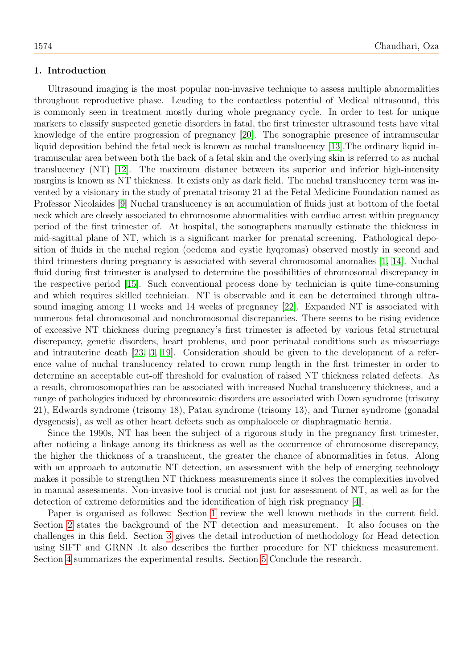## <span id="page-1-0"></span>1. Introduction

Ultrasound imaging is the most popular non-invasive technique to assess multiple abnormalities throughout reproductive phase. Leading to the contactless potential of Medical ultrasound, this is commonly seen in treatment mostly during whole pregnancy cycle. In order to test for unique markers to classify suspected genetic disorders in fatal, the first trimester ultrasound tests have vital knowledge of the entire progression of pregnancy [\[20\]](#page-10-0). The sonographic presence of intramuscular liquid deposition behind the fetal neck is known as nuchal translucency [\[13\]](#page-10-1).The ordinary liquid intramuscular area between both the back of a fetal skin and the overlying skin is referred to as nuchal translucency (NT) [\[12\]](#page-10-2). The maximum distance between its superior and inferior high-intensity margins is known as NT thickness. It exists only as dark field. The nuchal translucency term was invented by a visionary in the study of prenatal trisomy 21 at the Fetal Medicine Foundation named as Professor Nicolaides [\[9\]](#page-10-3) Nuchal translucency is an accumulation of fluids just at bottom of the foetal neck which are closely associated to chromosome abnormalities with cardiac arrest within pregnancy period of the first trimester of. At hospital, the sonographers manually estimate the thickness in mid-sagittal plane of NT, which is a significant marker for prenatal screening. Pathological deposition of fluids in the nuchal region (oedema and cystic hyqromas) observed mostly in second and third trimesters during pregnancy is associated with several chromosomal anomalies [\[1,](#page-9-0) [14\]](#page-10-4). Nuchal fluid during first trimester is analysed to determine the possibilities of chromosomal discrepancy in the respective period [\[15\]](#page-10-5). Such conventional process done by technician is quite time-consuming and which requires skilled technician. NT is observable and it can be determined through ultrasound imaging among 11 weeks and 14 weeks of pregnancy [\[22\]](#page-10-6). Expanded NT is associated with numerous fetal chromosomal and nonchromosomal discrepancies. There seems to be rising evidence of excessive NT thickness during pregnancy's first trimester is affected by various fetal structural discrepancy, genetic disorders, heart problems, and poor perinatal conditions such as miscarriage and intrauterine death [\[23,](#page-10-7) [3,](#page-9-1) [19\]](#page-10-8). Consideration should be given to the development of a reference value of nuchal translucency related to crown rump length in the first trimester in order to determine an acceptable cut-off threshold for evaluation of raised NT thickness related defects. As a result, chromosomopathies can be associated with increased Nuchal translucency thickness, and a range of pathologies induced by chromosomic disorders are associated with Down syndrome (trisomy 21), Edwards syndrome (trisomy 18), Patau syndrome (trisomy 13), and Turner syndrome (gonadal dysgenesis), as well as other heart defects such as omphalocele or diaphragmatic hernia.

Since the 1990s, NT has been the subject of a rigorous study in the pregnancy first trimester, after noticing a linkage among its thickness as well as the occurrence of chromosome discrepancy, the higher the thickness of a translucent, the greater the chance of abnormalities in fetus. Along with an approach to automatic NT detection, an assessment with the help of emerging technology makes it possible to strengthen NT thickness measurements since it solves the complexities involved in manual assessments. Non-invasive tool is crucial not just for assessment of NT, as well as for the detection of extreme deformities and the identification of high risk pregnancy [\[4\]](#page-9-2).

Paper is organised as follows: Section [1](#page-1-0) review the well known methods in the current field. Section [2](#page-2-0) states the background of the NT detection and measurement. It also focuses on the challenges in this field. Section [3](#page-2-1) gives the detail introduction of methodology for Head detection using SIFT and GRNN .It also describes the further procedure for NT thickness measurement. Section [4](#page-6-0) summarizes the experimental results. Section [5](#page-8-0) Conclude the research.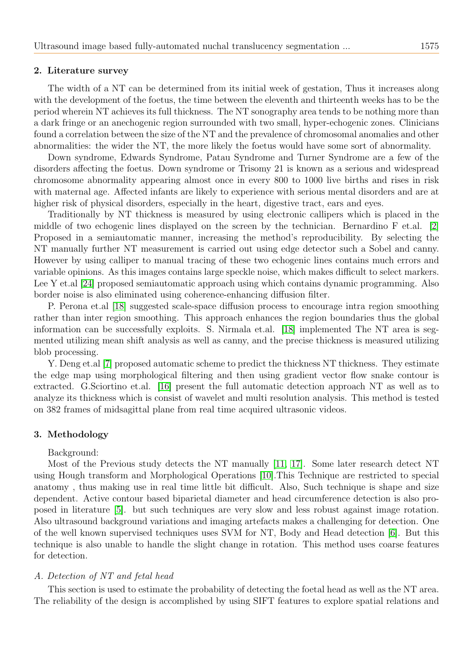## <span id="page-2-0"></span>2. Literature survey

The width of a NT can be determined from its initial week of gestation, Thus it increases along with the development of the foetus, the time between the eleventh and thirteenth weeks has to be the period wherein NT achieves its full thickness. The NT sonography area tends to be nothing more than a dark fringe or an anechogenic region surrounded with two small, hyper-echogenic zones. Clinicians found a correlation between the size of the NT and the prevalence of chromosomal anomalies and other abnormalities: the wider the NT, the more likely the foetus would have some sort of abnormality.

Down syndrome, Edwards Syndrome, Patau Syndrome and Turner Syndrome are a few of the disorders affecting the foetus. Down syndrome or Trisomy 21 is known as a serious and widespread chromosome abnormality appearing almost once in every 800 to 1000 live births and rises in risk with maternal age. Affected infants are likely to experience with serious mental disorders and are at higher risk of physical disorders, especially in the heart, digestive tract, ears and eyes.

Traditionally by NT thickness is measured by using electronic callipers which is placed in the middle of two echogenic lines displayed on the screen by the technician. Bernardino F et.al. [\[2\]](#page-9-3) Proposed in a semiautomatic manner, increasing the method's reproducibility. By selecting the NT manually further NT measurement is carried out using edge detector such a Sobel and canny. However by using calliper to manual tracing of these two echogenic lines contains much errors and variable opinions. As this images contains large speckle noise, which makes difficult to select markers. Lee Y et.al [\[24\]](#page-10-9) proposed semiautomatic approach using which contains dynamic programming. Also border noise is also eliminated using coherence-enhancing diffusion filter.

P. Perona et.al [\[18\]](#page-10-10) suggested scale-space diffusion process to encourage intra region smoothing rather than inter region smoothing. This approach enhances the region boundaries thus the global information can be successfully exploits. S. Nirmala et.al. [\[18\]](#page-10-10) implemented The NT area is segmented utilizing mean shift analysis as well as canny, and the precise thickness is measured utilizing blob processing.

Y. Deng et.al [\[7\]](#page-10-11) proposed automatic scheme to predict the thickness NT thickness. They estimate the edge map using morphological filtering and then using gradient vector flow snake contour is extracted. G.Sciortino et.al. [\[16\]](#page-10-12) present the full automatic detection approach NT as well as to analyze its thickness which is consist of wavelet and multi resolution analysis. This method is tested on 382 frames of midsagittal plane from real time acquired ultrasonic videos.

## <span id="page-2-1"></span>3. Methodology

## Background:

Most of the Previous study detects the NT manually [\[11,](#page-10-13) [17\]](#page-10-14). Some later research detect NT using Hough transform and Morphological Operations [\[10\]](#page-10-15).This Technique are restricted to special anatomy , thus making use in real time little bit difficult. Also, Such technique is shape and size dependent. Active contour based biparietal diameter and head circumference detection is also proposed in literature [\[5\]](#page-9-4). but such techniques are very slow and less robust against image rotation. Also ultrasound background variations and imaging artefacts makes a challenging for detection. One of the well known supervised techniques uses SVM for NT, Body and Head detection [\[6\]](#page-9-5). But this technique is also unable to handle the slight change in rotation. This method uses coarse features for detection.

## A. Detection of NT and fetal head

This section is used to estimate the probability of detecting the foetal head as well as the NT area. The reliability of the design is accomplished by using SIFT features to explore spatial relations and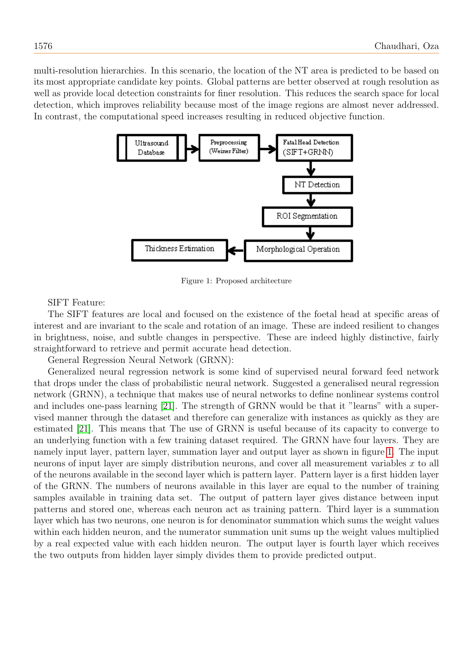multi-resolution hierarchies. In this scenario, the location of the NT area is predicted to be based on its most appropriate candidate key points. Global patterns are better observed at rough resolution as well as provide local detection constraints for finer resolution. This reduces the search space for local detection, which improves reliability because most of the image regions are almost never addressed. In contrast, the computational speed increases resulting in reduced objective function.



<span id="page-3-0"></span>Figure 1: Proposed architecture

SIFT Feature:

The SIFT features are local and focused on the existence of the foetal head at specific areas of interest and are invariant to the scale and rotation of an image. These are indeed resilient to changes in brightness, noise, and subtle changes in perspective. These are indeed highly distinctive, fairly straightforward to retrieve and permit accurate head detection.

General Regression Neural Network (GRNN):

Generalized neural regression network is some kind of supervised neural forward feed network that drops under the class of probabilistic neural network. Suggested a generalised neural regression network (GRNN), a technique that makes use of neural networks to define nonlinear systems control and includes one-pass learning [\[21\]](#page-10-16). The strength of GRNN would be that it "learns" with a supervised manner through the dataset and therefore can generalize with instances as quickly as they are estimated [\[21\]](#page-10-16). This means that The use of GRNN is useful because of its capacity to converge to an underlying function with a few training dataset required. The GRNN have four layers. They are namely input layer, pattern layer, summation layer and output layer as shown in figure [1.](#page-3-0) The input neurons of input layer are simply distribution neurons, and cover all measurement variables x to all of the neurons available in the second layer which is pattern layer. Pattern layer is a first hidden layer of the GRNN. The numbers of neurons available in this layer are equal to the number of training samples available in training data set. The output of pattern layer gives distance between input patterns and stored one, whereas each neuron act as training pattern. Third layer is a summation layer which has two neurons, one neuron is for denominator summation which sums the weight values within each hidden neuron, and the numerator summation unit sums up the weight values multiplied by a real expected value with each hidden neuron. The output layer is fourth layer which receives the two outputs from hidden layer simply divides them to provide predicted output.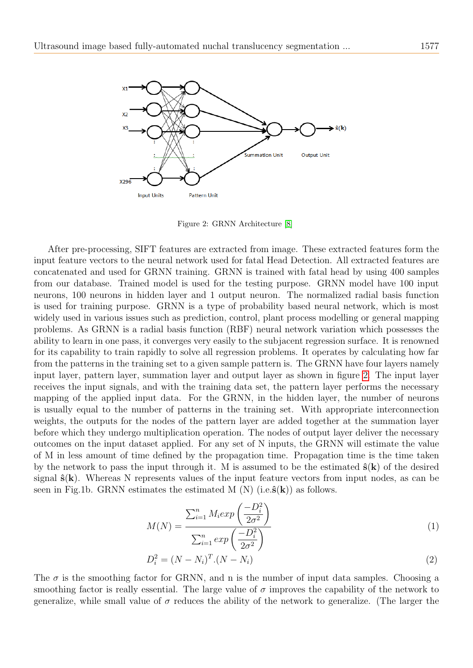

<span id="page-4-0"></span>Figure 2: GRNN Architecture [\[8\]](#page-10-17)

After pre-processing, SIFT features are extracted from image. These extracted features form the input feature vectors to the neural network used for fatal Head Detection. All extracted features are concatenated and used for GRNN training. GRNN is trained with fatal head by using 400 samples from our database. Trained model is used for the testing purpose. GRNN model have 100 input neurons, 100 neurons in hidden layer and 1 output neuron. The normalized radial basis function is used for training purpose. GRNN is a type of probability based neural network, which is most widely used in various issues such as prediction, control, plant process modelling or general mapping problems. As GRNN is a radial basis function (RBF) neural network variation which possesses the ability to learn in one pass, it converges very easily to the subjacent regression surface. It is renowned for its capability to train rapidly to solve all regression problems. It operates by calculating how far from the patterns in the training set to a given sample pattern is. The GRNN have four layers namely input layer, pattern layer, summation layer and output layer as shown in figure [2.](#page-4-0) The input layer receives the input signals, and with the training data set, the pattern layer performs the necessary mapping of the applied input data. For the GRNN, in the hidden layer, the number of neurons is usually equal to the number of patterns in the training set. With appropriate interconnection weights, the outputs for the nodes of the pattern layer are added together at the summation layer before which they undergo multiplication operation. The nodes of output layer deliver the necessary outcomes on the input dataset applied. For any set of N inputs, the GRNN will estimate the value of M in less amount of time defined by the propagation time. Propagation time is the time taken by the network to pass the input through it. M is assumed to be the estimated  $\hat{\mathbf{s}}(\mathbf{k})$  of the desired signal  $\hat{\mathbf{s}}(\mathbf{k})$ . Whereas N represents values of the input feature vectors from input nodes, as can be seen in Fig.1b. GRNN estimates the estimated M (N) (i.e. $\hat{\mathbf{s}}(\mathbf{k})$ ) as follows.

$$
M(N) = \frac{\sum_{i=1}^{n} M_i exp\left(\frac{-D_i^2}{2\sigma^2}\right)}{\sum_{i=1}^{n} exp\left(\frac{-D_i^2}{2\sigma^2}\right)}
$$
(1)

$$
D_i^2 = (N - N_i)^T (N - N_i)
$$
\n(2)

The  $\sigma$  is the smoothing factor for GRNN, and n is the number of input data samples. Choosing a smoothing factor is really essential. The large value of  $\sigma$  improves the capability of the network to generalize, while small value of  $\sigma$  reduces the ability of the network to generalize. (The larger the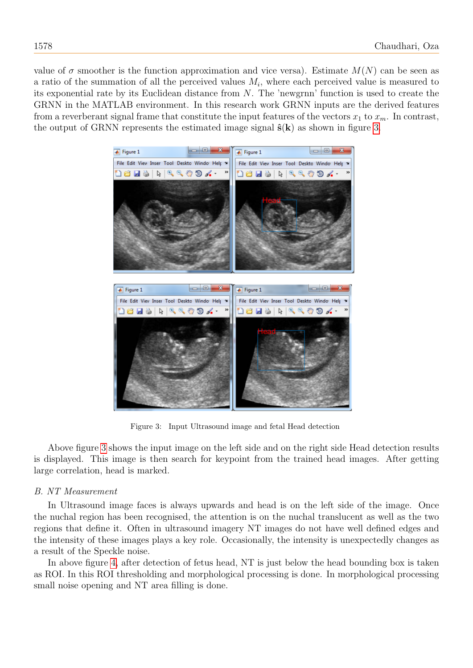value of  $\sigma$  smoother is the function approximation and vice versa). Estimate  $M(N)$  can be seen as a ratio of the summation of all the perceived values  $M_i$ , where each perceived value is measured to its exponential rate by its Euclidean distance from N. The 'newgrnn' function is used to create the GRNN in the MATLAB environment. In this research work GRNN inputs are the derived features from a reverberant signal frame that constitute the input features of the vectors  $x_1$  to  $x_m$ . In contrast, the output of GRNN represents the estimated image signal  $\hat{\mathbf{s}}(\mathbf{k})$  as shown in figure [3.](#page-5-0)



Figure 3: Input Ultrasound image and fetal Head detection

<span id="page-5-0"></span>Above figure [3](#page-5-0) shows the input image on the left side and on the right side Head detection results is displayed. This image is then search for keypoint from the trained head images. After getting large correlation, head is marked.

# B. NT Measurement

In Ultrasound image faces is always upwards and head is on the left side of the image. Once the nuchal region has been recognised, the attention is on the nuchal translucent as well as the two regions that define it. Often in ultrasound imagery NT images do not have well defined edges and the intensity of these images plays a key role. Occasionally, the intensity is unexpectedly changes as a result of the Speckle noise.

In above figure [4,](#page-6-1) after detection of fetus head, NT is just below the head bounding box is taken as ROI. In this ROI thresholding and morphological processing is done. In morphological processing small noise opening and NT area filling is done.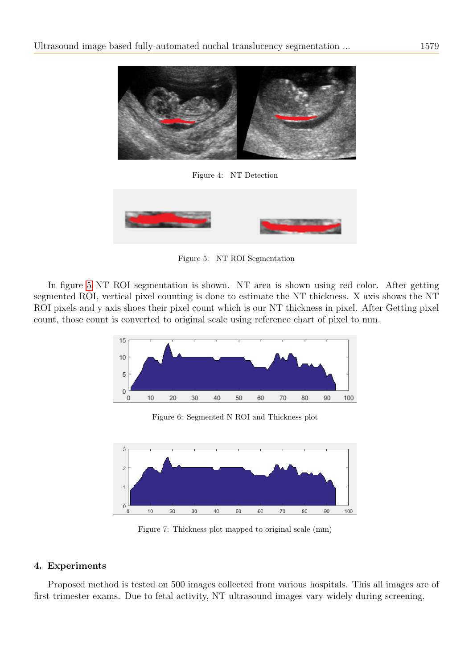

Figure 4: NT Detection

<span id="page-6-2"></span><span id="page-6-1"></span>

Figure 5: NT ROI Segmentation

In figure [5](#page-6-2) NT ROI segmentation is shown. NT area is shown using red color. After getting segmented ROI, vertical pixel counting is done to estimate the NT thickness. X axis shows the NT ROI pixels and y axis shoes their pixel count which is our NT thickness in pixel. After Getting pixel count, those count is converted to original scale using reference chart of pixel to mm.



Figure 6: Segmented N ROI and Thickness plot

3  $\overline{2}$  $\overline{0}$  $10$ 20 30 40 50 60 70 80 90 100

Figure 7: Thickness plot mapped to original scale (mm)

# <span id="page-6-0"></span>4. Experiments

Proposed method is tested on 500 images collected from various hospitals. This all images are of first trimester exams. Due to fetal activity, NT ultrasound images vary widely during screening.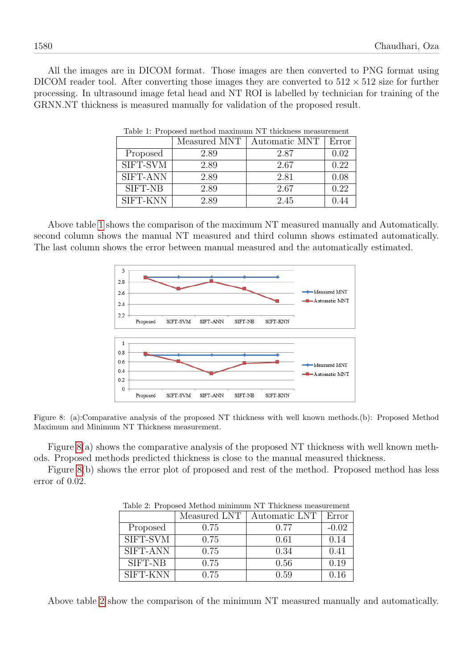<span id="page-7-0"></span>All the images are in DICOM format. Those images are then converted to PNG format using DICOM reader tool. After converting those images they are converted to  $512 \times 512$  size for further processing. In ultrasound image fetal head and NT ROI is labelled by technician for training of the GRNN.NT thickness is measured manually for validation of the proposed result.

|                | Measured MNT | Automatic MNT | Error |
|----------------|--------------|---------------|-------|
| Proposed       | 2.89         | 2.87          | 0.02  |
| SIFT-SVM       | 2.89         | 2.67          | 0.22  |
| SIFT-ANN       | 2.89         | 2.81          | 0.08  |
| <b>SIFT-NB</b> | 2.89         | 2.67          | 0.22  |
| SIFT-KNN       | 2.89         | 2.45          | 0.44  |

Table 1: Proposed method maximum NT thickness measurement

Above table [1](#page-7-0) shows the comparison of the maximum NT measured manually and Automatically. second column shows the manual NT measured and third column shows estimated automatically. The last column shows the error between manual measured and the automatically estimated.



Figure 8: (a):Comparative analysis of the proposed NT thickness with well known methods.(b): Proposed Method Maximum and Minimum NT Thickness measurement.

Figure [8\(](#page-7-1)a) shows the comparative analysis of the proposed NT thickness with well known methods. Proposed methods predicted thickness is close to the manual measured thickness.

<span id="page-7-2"></span>Figure [8\(](#page-7-1)b) shows the error plot of proposed and rest of the method. Proposed method has less error of 0.02.

| Tuble 2. I reposed hromed minimum is a michiless measurement |              |               |         |  |
|--------------------------------------------------------------|--------------|---------------|---------|--|
|                                                              | Measured LNT | Automatic LNT | Error   |  |
| Proposed                                                     | 0.75         | 0.77          | $-0.02$ |  |
| SIFT-SVM                                                     | 0.75         | 0.61          | 0.14    |  |
| SIFT-ANN                                                     | 0.75         | 0.34          | 0.41    |  |
| SIFT-NB                                                      | 0.75         | 0.56          | 0.19    |  |
| SIFT-KNN                                                     | 0.75         | 0.59          | 0.16    |  |

<span id="page-7-1"></span>Table 2: Proposed Method minimum NT Thickness measurement

Above table [2](#page-7-2) show the comparison of the minimum NT measured manually and automatically.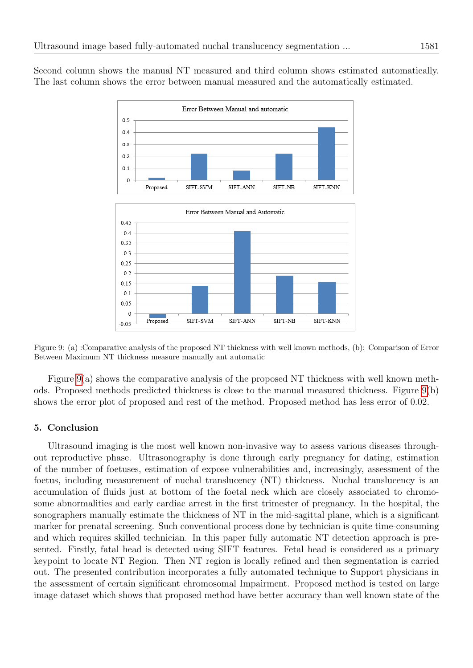Second column shows the manual NT measured and third column shows estimated automatically. The last column shows the error between manual measured and the automatically estimated.



<span id="page-8-1"></span>Figure 9: (a) :Comparative analysis of the proposed NT thickness with well known methods, (b): Comparison of Error Between Maximum NT thickness measure manually ant automatic

Figure [9\(](#page-8-1)a) shows the comparative analysis of the proposed NT thickness with well known methods. Proposed methods predicted thickness is close to the manual measured thickness. Figure [9\(](#page-8-1)b) shows the error plot of proposed and rest of the method. Proposed method has less error of 0.02.

## <span id="page-8-0"></span>5. Conclusion

Ultrasound imaging is the most well known non-invasive way to assess various diseases throughout reproductive phase. Ultrasonography is done through early pregnancy for dating, estimation of the number of foetuses, estimation of expose vulnerabilities and, increasingly, assessment of the foetus, including measurement of nuchal translucency (NT) thickness. Nuchal translucency is an accumulation of fluids just at bottom of the foetal neck which are closely associated to chromosome abnormalities and early cardiac arrest in the first trimester of pregnancy. In the hospital, the sonographers manually estimate the thickness of NT in the mid-sagittal plane, which is a significant marker for prenatal screening. Such conventional process done by technician is quite time-consuming and which requires skilled technician. In this paper fully automatic NT detection approach is presented. Firstly, fatal head is detected using SIFT features. Fetal head is considered as a primary keypoint to locate NT Region. Then NT region is locally refined and then segmentation is carried out. The presented contribution incorporates a fully automated technique to Support physicians in the assessment of certain significant chromosomal Impairment. Proposed method is tested on large image dataset which shows that proposed method have better accuracy than well known state of the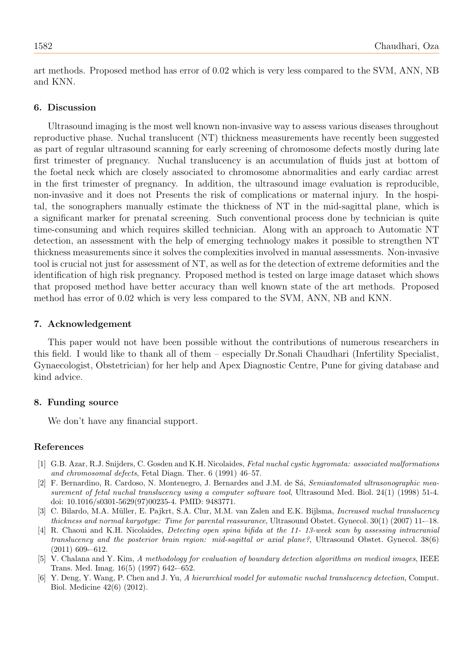art methods. Proposed method has error of 0.02 which is very less compared to the SVM, ANN, NB and KNN.

## 6. Discussion

Ultrasound imaging is the most well known non-invasive way to assess various diseases throughout reproductive phase. Nuchal translucent (NT) thickness measurements have recently been suggested as part of regular ultrasound scanning for early screening of chromosome defects mostly during late first trimester of pregnancy. Nuchal translucency is an accumulation of fluids just at bottom of the foetal neck which are closely associated to chromosome abnormalities and early cardiac arrest in the first trimester of pregnancy. In addition, the ultrasound image evaluation is reproducible, non-invasive and it does not Presents the risk of complications or maternal injury. In the hospital, the sonographers manually estimate the thickness of NT in the mid-sagittal plane, which is a significant marker for prenatal screening. Such conventional process done by technician is quite time-consuming and which requires skilled technician. Along with an approach to Automatic NT detection, an assessment with the help of emerging technology makes it possible to strengthen NT thickness measurements since it solves the complexities involved in manual assessments. Non-invasive tool is crucial not just for assessment of NT, as well as for the detection of extreme deformities and the identification of high risk pregnancy. Proposed method is tested on large image dataset which shows that proposed method have better accuracy than well known state of the art methods. Proposed method has error of 0.02 which is very less compared to the SVM, ANN, NB and KNN.

## 7. Acknowledgement

This paper would not have been possible without the contributions of numerous researchers in this field. I would like to thank all of them – especially Dr.Sonali Chaudhari (Infertility Specialist, Gynaecologist, Obstetrician) for her help and Apex Diagnostic Centre, Pune for giving database and kind advice.

## 8. Funding source

We don't have any financial support.

## References

- <span id="page-9-0"></span>[1] G.B. Azar, R.J. Snijders, C. Gosden and K.H. Nicolaides, Fetal nuchal cystic hygromata: associated malformations and chromosomal defects, Fetal Diagn. Ther. 6 (1991) 46–57.
- <span id="page-9-3"></span>[2] F. Bernardino, R. Cardoso, N. Montenegro, J. Bernardes and J.M. de Sá, Semiautomated ultrasonographic measurement of fetal nuchal translucency using a computer software tool, Ultrasound Med. Biol. 24(1) (1998) 51-4. doi: 10.1016/s0301-5629(97)00235-4. PMID: 9483771.
- <span id="page-9-1"></span>[3] C. Bilardo, M.A. Müller, E. Pajkrt, S.A. Clur, M.M. van Zalen and E.K. Bijlsma, Increased nuchal translucency thickness and normal karyotype: Time for parental reassurance, Ultrasound Obstet. Gynecol. 30(1) (2007) 11-–18.
- <span id="page-9-2"></span>[4] R. Chaoui and K.H. Nicolaides, Detecting open spina bifida at the 11- 13-week scan by assessing intracranial translucency and the posterior brain region: mid-sagittal or axial plane?, Ultrasound Obstet. Gynecol. 38(6) (2011) 609-–612.
- <span id="page-9-4"></span>[5] V. Chalana and Y. Kim, A methodology for evaluation of boundary detection algorithms on medical images, IEEE Trans. Med. Imag. 16(5) (1997) 642-–652.
- <span id="page-9-5"></span>[6] Y. Deng, Y. Wang, P. Chen and J. Yu, A hierarchical model for automatic nuchal translucency detection, Comput. Biol. Medicine 42(6) (2012).